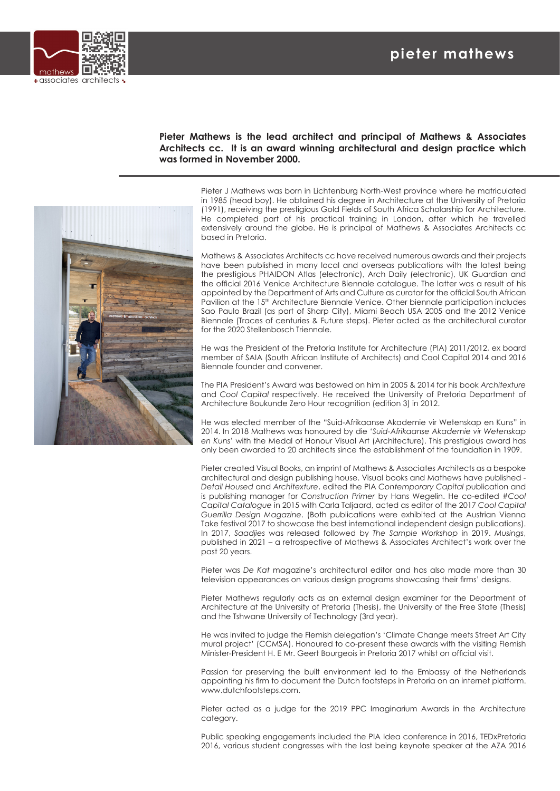## **pieter mathews**



## **Pieter Mathews is the lead architect and principal of Mathews & Associates Architects cc. It is an award winning architectural and design practice which was formed in November 2000.**

Pieter J Mathews was born in Lichtenburg North-West province where he matriculated in 1985 (head boy). He obtained his degree in Architecture at the University of Pretoria (1991), receiving the prestigious Gold Fields of South Africa Scholarship for Architecture. He completed part of his practical training in London, after which he travelled extensively around the globe. He is principal of Mathews & Associates Architects cc based in Pretoria.

Mathews & Associates Architects cc have received numerous awards and their projects have been published in many local and overseas publications with the latest being the prestigious PHAIDON Atlas (electronic), Arch Daily (electronic), UK Guardian and the official 2016 Venice Architecture Biennale catalogue. The latter was a result of his appointed by the Department of Arts and Culture as curator for the official South African Pavilion at the 15<sup>th</sup> Architecture Biennale Venice. Other biennale participation includes Sao Paulo Brazil (as part of Sharp City), Miami Beach USA 2005 and the 2012 Venice Biennale (Traces of centuries & Future steps). Pieter acted as the architectural curator for the 2020 Stellenbosch Triennale.

He was the President of the Pretoria Institute for Architecture (PIA) 2011/2012, ex board member of SAIA (South African Institute of Architects) and Cool Capital 2014 and 2016 Biennale founder and convener.

The PIA President's Award was bestowed on him in 2005 & 2014 for his book *Architexture* and *Cool Capital* respectively. He received the University of Pretoria Department of Architecture Boukunde Zero Hour recognition (edition 3) in 2012.

He was elected member of the "Suid-Afrikaanse Akademie vir Wetenskap en Kuns" in 2014. In 2018 Mathews was honoured by die '*Suid-Afrikaanse Akademie vir Wetenskap en Kuns*' with the Medal of Honour Visual Art (Architecture). This prestigious award has only been awarded to 20 architects since the establishment of the foundation in 1909.

Pieter created Visual Books, an imprint of Mathews & Associates Architects as a bespoke architectural and design publishing house. Visual books and Mathews have published - *Detail Housed* and *Architexture*, edited the PIA *Contemporary Capital* publication and is publishing manager for *Construction Primer* by Hans Wegelin. He co-edited #*Cool Capital Catalogue* in 2015 with Carla Taljaard, acted as editor of the 2017 *Cool Capital Guerrilla Design Magazine*. (Both publications were exhibited at the Austrian Vienna Take festival 2017 to showcase the best international independent design publications). In 2017, *Saadjies* was released followed by *The Sample Workshop* in 2019. *Musings*, published in 2021 – a retrospective of Mathews & Associates Architect's work over the past 20 years.

Pieter was *De Kat* magazine's architectural editor and has also made more than 30 television appearances on various design programs showcasing their firms' designs.

Pieter Mathews regularly acts as an external design examiner for the Department of Architecture at the University of Pretoria (Thesis), the University of the Free State (Thesis) and the Tshwane University of Technology (3rd year).

He was invited to judge the Flemish delegation's 'Climate Change meets Street Art City mural project' (CCMSA). Honoured to co-present these awards with the visiting Flemish Minister-President H. E Mr. Geert Bourgeois in Pretoria 2017 whilst on official visit.

Passion for preserving the built environment led to the Embassy of the Netherlands appointing his firm to document the Dutch footsteps in Pretoria on an internet platform. www.dutchfootsteps.com.

Pieter acted as a judge for the 2019 PPC Imaginarium Awards in the Architecture category.

Public speaking engagements included the PIA Idea conference in 2016, TEDxPretoria 2016, various student congresses with the last being keynote speaker at the AZA 2016